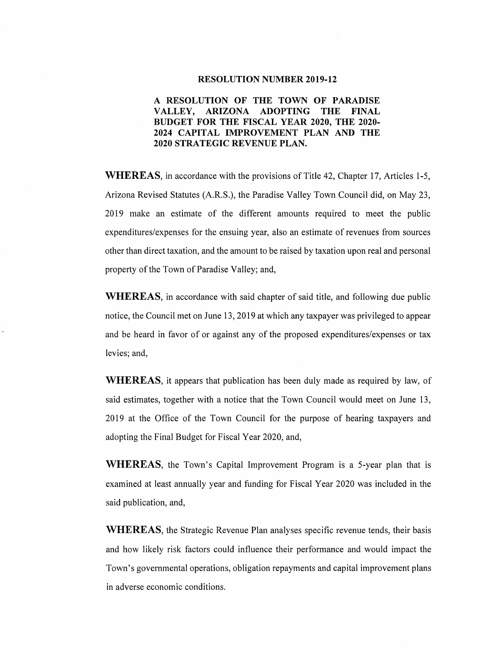#### **RESOLUTION NUMBER 2019-12**

## **A RESOLUTION OF THE TOWN OF PARADISE VALLEY, ARIZONA ADOPTING THE FINAL BUDGET FOR THE FISCAL YEAR 2020, THE 2020- 2024 CAPITAL IMPROVEMENT PLAN AND THE 2020 STRATEGIC REVENUE PLAN.**

**WHEREAS,** in accordance with the provisions of Title 42, Chapter 17, Articles 1-5, Arizona Revised Statutes (A.R.S.), the Paradise Valley Town Council did, on May 23, 2019 make an estimate of the different amounts required to meet the public expenditures/expenses for the ensuing year, also an estimate of revenues from sources other than direct taxation, and the amount to be raised by taxation upon real and personal property of the Town of Paradise Valley; and,

**WHEREAS,** in accordance with said chapter of said title, and following due public notice, the Council met on June 13, 2019 at which any taxpayer was privileged to appear and be heard in favor of or against any of the proposed expenditures/expenses or tax levies; and,

**WHEREAS,** it appears that publication has been duly made as required by law, of said estimates, together with a notice that the Town Council would meet on June 13, 2019 at the Office of the Town Council for the purpose of hearing taxpayers and adopting the Final Budget for Fiscal Year 2020, and,

**WHEREAS,** the Town's Capital Improvement Program is a 5-year plan that is examined at least annually year and funding for Fiscal Year 2020 was included in the said publication, and,

**WHEREAS,** the Strategic Revenue Plan analyses specific revenue tends, their basis and how likely risk factors could influence their performance and would impact the Town's governmental operations, obligation repayments and capital improvement plans in adverse economic conditions.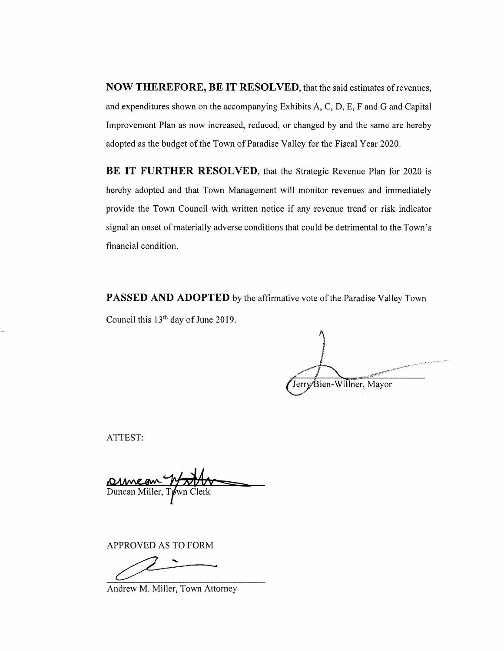**NOW THEREFORE, BE IT RESOLVED,** that the said estimates ofrevenues, and expenditures shown on the accompanying Exhibits A, C, D, E, F and G and Capital Improvement Plan as now increased, reduced, or changed by and the same are hereby adopted as the budget of the Town of Paradise Valley for the Fiscal Year 2020.

**BE IT FURTHER RESOLVED, that the Strategic Revenue Plan for 2020 is** hereby adopted and that Town Management will monitor revenues and immediately provide the Town Council with written notice if any revenue trend or risk indicator signal an onset of materially adverse conditions that could be detrimental to the Town's financial condition.

**PASSED AND ADOPTED** by the affirmative vote of the Paradise Valley Town Council this  $13<sup>th</sup>$  day of June 2019.

Jerry Bien-Willner, Mayor

ATTEST:

Duncan Miller, Town Clerk

APPROVED AS TO FORM

Andrew M. Miller, Town Attorney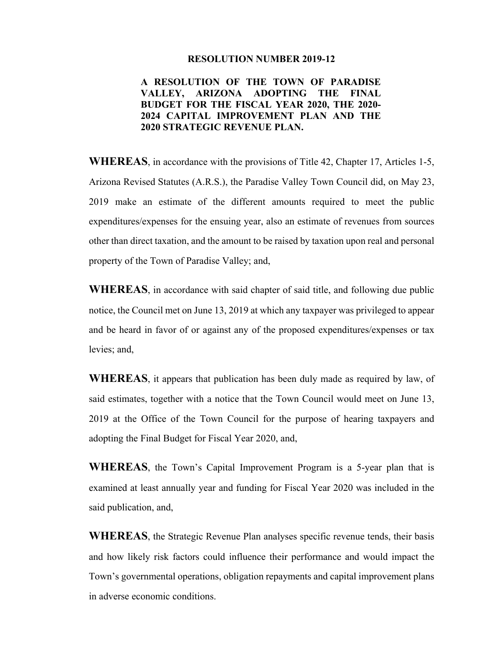#### **RESOLUTION NUMBER 2019-12**

## **A RESOLUTION OF THE TOWN OF PARADISE VALLEY, ARIZONA ADOPTING THE FINAL BUDGET FOR THE FISCAL YEAR 2020, THE 2020- 2024 CAPITAL IMPROVEMENT PLAN AND THE 2020 STRATEGIC REVENUE PLAN.**

**WHEREAS**, in accordance with the provisions of Title 42, Chapter 17, Articles 1-5, Arizona Revised Statutes (A.R.S.), the Paradise Valley Town Council did, on May 23, 2019 make an estimate of the different amounts required to meet the public expenditures/expenses for the ensuing year, also an estimate of revenues from sources other than direct taxation, and the amount to be raised by taxation upon real and personal property of the Town of Paradise Valley; and,

**WHEREAS**, in accordance with said chapter of said title, and following due public notice, the Council met on June 13, 2019 at which any taxpayer was privileged to appear and be heard in favor of or against any of the proposed expenditures/expenses or tax levies; and,

**WHEREAS**, it appears that publication has been duly made as required by law, of said estimates, together with a notice that the Town Council would meet on June 13, 2019 at the Office of the Town Council for the purpose of hearing taxpayers and adopting the Final Budget for Fiscal Year 2020, and,

**WHEREAS**, the Town's Capital Improvement Program is a 5-year plan that is examined at least annually year and funding for Fiscal Year 2020 was included in the said publication, and,

**WHEREAS**, the Strategic Revenue Plan analyses specific revenue tends, their basis and how likely risk factors could influence their performance and would impact the Town's governmental operations, obligation repayments and capital improvement plans in adverse economic conditions.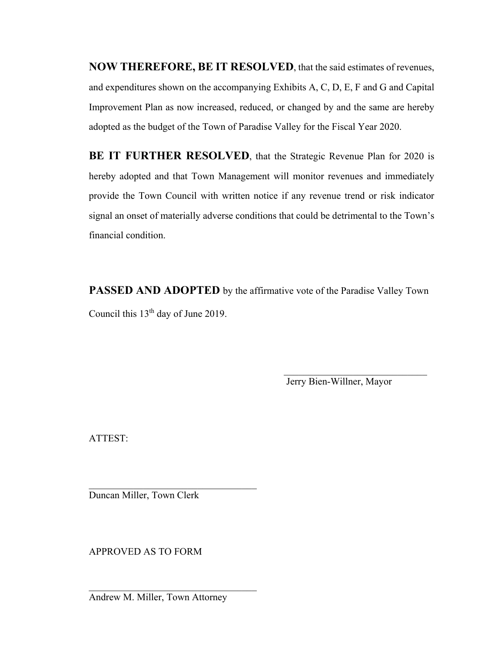**NOW THEREFORE, BE IT RESOLVED**, that the said estimates of revenues, and expenditures shown on the accompanying Exhibits A, C, D, E, F and G and Capital Improvement Plan as now increased, reduced, or changed by and the same are hereby adopted as the budget of the Town of Paradise Valley for the Fiscal Year 2020.

**BE IT FURTHER RESOLVED**, that the Strategic Revenue Plan for 2020 is hereby adopted and that Town Management will monitor revenues and immediately provide the Town Council with written notice if any revenue trend or risk indicator signal an onset of materially adverse conditions that could be detrimental to the Town's financial condition.

**PASSED AND ADOPTED** by the affirmative vote of the Paradise Valley Town Council this 13<sup>th</sup> day of June 2019.

Jerry Bien-Willner, Mayor

ATTEST:

Duncan Miller, Town Clerk

APPROVED AS TO FORM

Andrew M. Miller, Town Attorney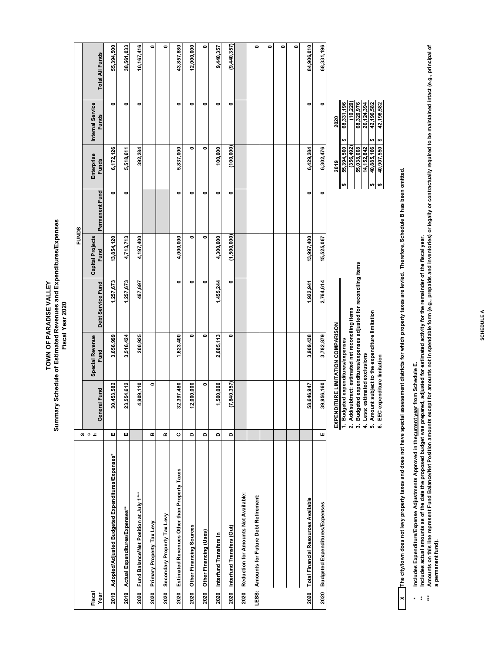# Summary Schedule of Estimated Revenues and Expenditures/Expenses<br>Fiscal Year 2020 **Summary Schedule of Estimated Revenues and Expenditures/Expenses** TOWN OF PARADISE VALLEY **TOWN OF PARADISE VALLEY Fiscal Year 2020**

|                                                       |          |               |                                   |                   | <b>FUNDS</b>                    |                |                            |                                  |                 |
|-------------------------------------------------------|----------|---------------|-----------------------------------|-------------------|---------------------------------|----------------|----------------------------|----------------------------------|-----------------|
| Fiscal<br>Year                                        | თ u c    | General Fund  | Special Revenue<br>Fund           | Debt Service Fund | <b>Capital Projects</b><br>Fund | Permanent Fund | Enterprise<br><b>Funds</b> | Internal Service<br><b>Funds</b> | Total All Funds |
| 2019 Adopted/Adjusted Budgeted Expenditures/Expenses* | Щ        | 30,453,582    | 3,656,999                         | 1,257,673         | 13,854,120                      | 0              | 6,172,126                  | 0                                | 55,394,500      |
| 2019 Actual Expenditures/Expenses**                   | ш        | 23,554,612    | 3,516,424                         | 1,257,673         | 4,713,713                       | 0              | 5,518,611                  | 0                                | 38,561,033      |
| Fund Balance/Net Position at July 1***<br>2020        |          | 4,909,110     | 200,925                           | 467,697           | 4,197,400                       |                | 392,284                    | 0                                | 10,167,416      |
| Primary Property Tax Levy<br>2020                     | $\bf{m}$ | ۰             |                                   |                   |                                 |                |                            |                                  | 0               |
| Secondary Property Tax Levy<br>2020                   | m        |               |                                   |                   |                                 |                |                            |                                  | 0               |
| Estimated Revenues Other than Property Taxes<br>2020  | ပ        | 32,397,480    | 1,623,400                         | 0                 | 4,000,000                       | 0              | 5,837,000                  | 0                                | 43,857,880      |
| Other Financing Sources<br>2020                       | $\Omega$ | 12,000,000    | $\bullet$                         | 0                 | ۰                               | ۰              | $\bullet$                  | ۰                                | 12,000,000      |
| Other Financing (Uses)<br>2020                        | $\Omega$ | $\bullet$     | 0                                 | ۰                 | 0                               | 0              | 0                          | ۰                                | ۰               |
| 2020 Interfund Transfers In                           | $\Omega$ | 1,500,000     | 2,085,113                         | 1,455,244         | 4,300,000                       | 0              | 100,000                    | ۰                                | 9,440,357       |
| 2020 Interfund Transfers (Out)                        | $\Omega$ | (7, 840, 357) | 0                                 | 0                 | (1,500,000)                     | 0              | (100,000)                  | 0                                | (9,440,357)     |
| Reduction for Amounts Not Available:<br>2020          |          |               |                                   |                   |                                 |                |                            |                                  |                 |
| LESS: Amounts for Future Debt Retirement:             |          |               |                                   |                   |                                 |                |                            |                                  | 0               |
|                                                       |          |               |                                   |                   |                                 |                |                            |                                  | 0               |
|                                                       |          |               |                                   |                   |                                 |                |                            |                                  | ۰               |
|                                                       |          |               |                                   |                   |                                 |                |                            |                                  | ۰               |
| 2020 Total Financial Resources Available              |          | 58,646,947    | 3,909,438                         | 1,922,941         | 13,997,400                      | 0              | 6,429,284                  | 0                                | 84,906,010      |
| <b>Budgeted Expenditures/Expenses</b><br>2020         | ш        | 39,956,160    | 3,782,879                         | 2,764,614         | 15,525,067                      | 0              | 6,302,476                  | 0                                | 68,331,196      |
|                                                       |          |               | EXPENDITURE LIMITATION COMPARISON |                   |                                 |                | 2019                       | 2020                             |                 |

**X The city/town does not levy property taxes and does not have special assessment districts for which property taxes are levied. Therefore, Schedule B has been omitted.**

**1. Budgeted expenditures/expenses 55,394,500 \$ 68,331,196 \$ 2. Add/subtract: estimated net reconciling items (356,492) (10,220) 3. Budgeted expenditures/expenses adjusted for reconciling items 55,038,008 68,320,976 4. Less: estimated exclusions 14,152,842 26,124,394 5. Amount subject to the expenditure limitation 40,885,166 \$ 42,196,582 \$ 6. EEC expenditure limitation 40,907,550 \$ 42,196,582 \$** 

3. Budgeted expenditures/expenses adjusted for reconciling items

4. Less: estimated exclusions<br>5. Amount subject to the expenditure limitation<br>6. EEC expenditure limitation

2. Add/subtract: estimated net reconciling items

1. Budgeted expenditures/expenses

26,124,394<br>42,196,582<br>42,196,582

40,885,166

 $\boldsymbol{\omega}$ 

14, 152, 842  $(356, 492)$ 55,038,008

 $(10,220)$ 68,320,976 68,331,196

55,394,500

| پ

**\* \*\* Includes Expenditure/Expense Adjustments Approved in the current year from Schedule E.**   $\begin{array}{c} \mathbf{x} \\ \mathbf{y} \\ \mathbf{y} \end{array}$ 

**Includes actual amounts as of the date the proposed budget was prepared, adjusted for estimated activity for the remainder of the fiscal year.**

\*\*\*\* Amounts on this line represent Fund Balance/Net Position amounts except for amounts not in spendable form (e.g., prepaids and inventories) or legally or contractually required to be maintained intact (e.g., principal a permanent fund). **a permanent fund).**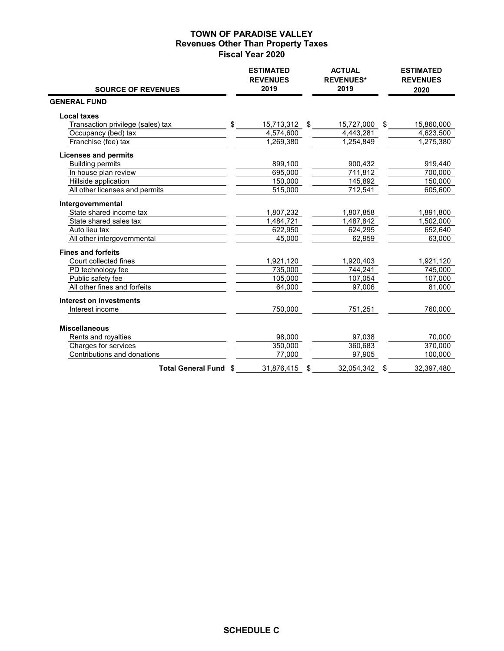## **TOWN OF PARADISE VALLEY Revenues Other Than Property Taxes Fiscal Year 2020**

| <b>SOURCE OF REVENUES</b>         |     | <b>ESTIMATED</b><br><b>REVENUES</b><br>2019 | <b>ACTUAL</b><br><b>REVENUES*</b><br>2019 | <b>ESTIMATED</b><br><b>REVENUES</b><br>2020 |
|-----------------------------------|-----|---------------------------------------------|-------------------------------------------|---------------------------------------------|
| <b>GENERAL FUND</b>               |     |                                             |                                           |                                             |
| <b>Local taxes</b>                |     |                                             |                                           |                                             |
| Transaction privilege (sales) tax | \$. | 15,713,312 \$                               | 15,727,000                                | \$<br>15,860,000                            |
| Occupancy (bed) tax               |     | 4,574,600                                   | 4,443,281                                 | 4,623,500                                   |
| Franchise (fee) tax               |     | 1,269,380                                   | 1,254,849                                 | 1,275,380                                   |
| <b>Licenses and permits</b>       |     |                                             |                                           |                                             |
| <b>Building permits</b>           |     | 899,100                                     | 900,432                                   | 919,440                                     |
| In house plan review              |     | 695,000                                     | 711,812                                   | 700,000                                     |
| Hillside application              |     | 150,000                                     | 145,892                                   | 150,000                                     |
| All other licenses and permits    |     | 515,000                                     | 712,541                                   | 605,600                                     |
| Intergovernmental                 |     |                                             |                                           |                                             |
| State shared income tax           |     | 1,807,232                                   | 1,807,858                                 | 1,891,800                                   |
| State shared sales tax            |     | 1,484,721                                   | 1,487,842                                 | 1,502,000                                   |
| Auto lieu tax                     |     | 622,950                                     | 624,295                                   | 652,640                                     |
| All other intergovernmental       |     | 45,000                                      | 62,959                                    | 63,000                                      |
| <b>Fines and forfeits</b>         |     |                                             |                                           |                                             |
| Court collected fines             |     | 1,921,120                                   | 1,920,403                                 | 1,921,120                                   |
| PD technology fee                 |     | 735,000                                     | 744,241                                   | 745,000                                     |
| Public safety fee                 |     | 105,000                                     | 107,054                                   | 107,000                                     |
| All other fines and forfeits      |     | 64,000                                      | 97,006                                    | 81,000                                      |
| Interest on investments           |     |                                             |                                           |                                             |
| Interest income                   |     | 750,000                                     | 751,251                                   | 760,000                                     |
|                                   |     |                                             |                                           |                                             |
| <b>Miscellaneous</b>              |     |                                             |                                           |                                             |
| Rents and royalties               |     | 98,000                                      | 97,038                                    | 70,000                                      |
| Charges for services              |     | 350,000                                     | 360,683                                   | 370,000                                     |
| Contributions and donations       |     | 77,000                                      | 97,905                                    | 100,000                                     |
| <b>Total General Fund \$</b>      |     | 31.876.415                                  | \$<br>32.054.342                          | \$<br>32.397.480                            |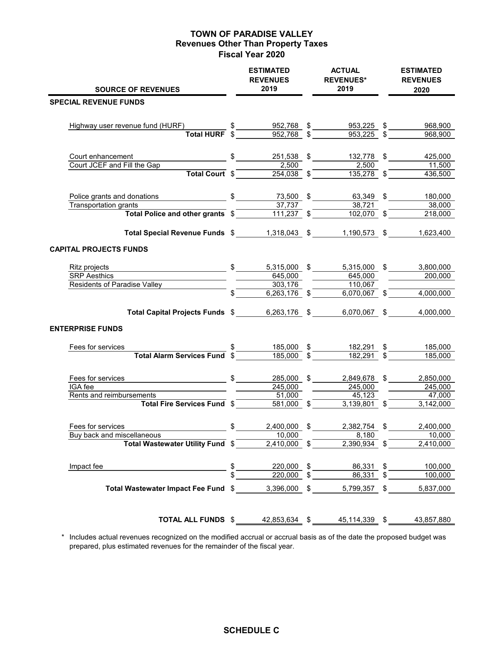## **TOWN OF PARADISE VALLEY Revenues Other Than Property Taxes Fiscal Year 2020**

| <b>SOURCE OF REVENUES</b>                                                                                            | <b>ESTIMATED</b><br><b>REVENUES</b><br>2019                                   | <b>ACTUAL</b><br><b>REVENUES*</b><br>2019 | <b>ESTIMATED</b><br><b>REVENUES</b><br>2020 |
|----------------------------------------------------------------------------------------------------------------------|-------------------------------------------------------------------------------|-------------------------------------------|---------------------------------------------|
| <b>SPECIAL REVENUE FUNDS</b>                                                                                         |                                                                               |                                           |                                             |
| Highway user revenue fund (HURF)                                                                                     |                                                                               | 953,225 \$                                | 968,900                                     |
|                                                                                                                      | $\frac{\$}{\text{Total HURF}} \frac{\$}{\$} \frac{952,768}{\$} \frac{\$}{\$}$ | 953,225                                   | 968,900                                     |
| Court enhancement<br>$\overline{\phantom{1}}$ \$                                                                     | 251,538 \$                                                                    | 132,778 \$                                | 425,000                                     |
| Court JCEF and Fill the Gap<br>Total Court \$                                                                        | 2,500<br>$\overline{254,038}$ \$                                              | 2,500<br>$135,278$ \$                     | 11,500<br>436,500                           |
| Police grants and donations<br>since the same state of \$                                                            | 73,500                                                                        | \$<br>63,349 \$                           | 180,000                                     |
| Transportation grants<br>Total Police and other grants \$                                                            | 37.737<br>$\overline{111,237}$ \$                                             | 38.721<br>$\overline{102,070}$ \$         | 38,000<br>218,000                           |
|                                                                                                                      |                                                                               |                                           |                                             |
| Total Special Revenue Funds \$1,318,043 \$                                                                           |                                                                               | 1,190,573 \$                              | 1,623,400                                   |
| <b>CAPITAL PROJECTS FUNDS</b>                                                                                        |                                                                               |                                           |                                             |
| Ritz projects                                                                                                        | $\frac{1}{2}$<br>5,315,000 \$                                                 | 5,315,000 \$                              | 3,800,000                                   |
| <b>SRP Aesthics</b>                                                                                                  | 645,000                                                                       | 645,000                                   | 200,000                                     |
| <b>Residents of Paradise Valley</b>                                                                                  | 303,176                                                                       | 110,067                                   |                                             |
|                                                                                                                      | $\sqrt[3]{}$<br>$6,263,176$ \$                                                | 6,070,067 \$                              | 4,000,000                                   |
| Total Capital Projects Funds \$ 6,263,176 \$                                                                         |                                                                               | 6,070,067 \$                              | 4,000,000                                   |
| <b>ENTERPRISE FUNDS</b>                                                                                              |                                                                               |                                           |                                             |
| Fees for services                                                                                                    | 185,000                                                                       | \$<br>182,291                             | \$<br>185,000                               |
| Total Alarm Services Fund \$                                                                                         | 185,000                                                                       | 182,291                                   | \$<br>185,000                               |
| Fees for services                                                                                                    | $\frac{1}{2}$<br>285,000 \$                                                   | 2,849,678                                 | \$<br>2,850,000                             |
| IGA fee                                                                                                              | 245,000                                                                       | 245,000                                   | $\overline{245,000}$                        |
| Rents and reimbursements                                                                                             | 51,000                                                                        | 45,123                                    | 47,000                                      |
| Total Fire Services Fund \$                                                                                          | 581,000 \$                                                                    | 3,139,801 \$                              | 3,142,000                                   |
| \$<br>Fees for services                                                                                              | 2,400,000                                                                     | \$<br>2,382,754 \$                        | 2,400,000                                   |
| Buy back and miscellaneous                                                                                           | 10,000                                                                        | 8,180                                     | 10,000                                      |
| $\frac{\text{scellaneous}}{\text{Total Western Utility Fund}} \cdot \frac{10,000}{2,410,000} \cdot \frac{10,000}{2}$ |                                                                               | $\overline{2,390,934}$ \$                 | 2,410,000                                   |
| Impact fee<br>$\frac{\$}{\$}$ $\frac{220,000}{\$}$ $\frac{\$}{\$}$ $\frac{86,331}{\$}$ $\frac{\$}{\$}$               |                                                                               |                                           | 100,000                                     |
|                                                                                                                      |                                                                               |                                           | 100,000                                     |
| Total Wastewater Impact Fee Fund \$3,396,000 \$5,799,357 \$5,837,000                                                 |                                                                               |                                           |                                             |
| <b>TOTAL ALL FUNDS</b> $$$ 42,853,634 $$$ 45,114,339 $$$                                                             |                                                                               |                                           | 43,857,880                                  |

 \* Includes actual revenues recognized on the modified accrual or accrual basis as of the date the proposed budget was prepared, plus estimated revenues for the remainder of the fiscal year.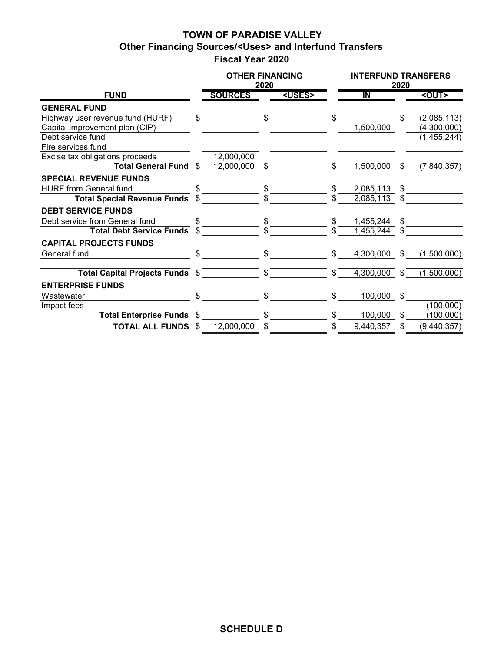# **TOWN OF PARADISE VALLEY Other Financing Sources/<Uses> and Interfund Transfers Fiscal Year 2020**

|                                    |      | <b>OTHER FINANCING</b> | 2020 |               |     | <b>INTERFUND TRANSFERS</b> | 2020 |             |
|------------------------------------|------|------------------------|------|---------------|-----|----------------------------|------|-------------|
| <b>FUND</b>                        |      | <b>SOURCES</b>         |      | <uses></uses> |     | $\overline{\mathsf{I}}$    |      | <out></out> |
| <b>GENERAL FUND</b>                |      |                        |      |               |     |                            |      |             |
| Highway user revenue fund (HURF)   | \$   |                        | \$.  |               | \$. |                            | \$.  | (2,085,113) |
| Capital improvement plan (CIP)     |      |                        |      |               |     | 1,500,000                  |      | (4,300,000) |
| Debt service fund                  |      |                        |      |               |     |                            |      | (1,455,244) |
| Fire services fund                 |      |                        |      |               |     |                            |      |             |
| Excise tax obligations proceeds    |      | 12,000,000             |      |               |     |                            |      |             |
| Total General Fund \$              |      | 12,000,000             | \$   |               | S.  | 1,500,000                  | \$.  | (7,840,357) |
| <b>SPECIAL REVENUE FUNDS</b>       |      |                        |      |               |     |                            |      |             |
| <b>HURF</b> from General fund      |      |                        |      |               |     | 2,085,113                  | \$   |             |
| <b>Total Special Revenue Funds</b> |      |                        | \$.  |               | \$. | 2,085,113                  | \$.  |             |
| <b>DEBT SERVICE FUNDS</b>          |      |                        |      |               |     |                            |      |             |
| Debt service from General fund     | \$   |                        | \$   |               | \$  | 1,455,244                  | \$   |             |
| <b>Total Debt Service Funds</b>    | \$   |                        | \$.  |               | \$. | 1,455,244                  | \$   |             |
| <b>CAPITAL PROJECTS FUNDS</b>      |      |                        |      |               |     |                            |      |             |
| General fund                       | \$   |                        | \$.  |               | \$  | 4,300,000                  | \$   | (1,500,000) |
|                                    |      |                        |      |               |     |                            |      |             |
| Total Capital Projects Funds \$    |      |                        | \$   |               | \$  | 4,300,000                  | \$   | (1,500,000) |
| <b>ENTERPRISE FUNDS</b>            |      |                        |      |               |     |                            |      |             |
| Wastewater                         | \$   |                        | \$   |               | \$  | 100,000                    | \$   |             |
| Impact fees                        |      |                        |      |               |     |                            |      | (100,000)   |
| <b>Total Enterprise Funds</b>      | - \$ |                        | \$.  |               | \$. | 100,000                    | \$   | (100,000)   |
| <b>TOTAL ALL FUNDS</b>             | -S   | 12,000,000             | \$   |               | \$  | 9,440,357                  | \$   | (9,440,357) |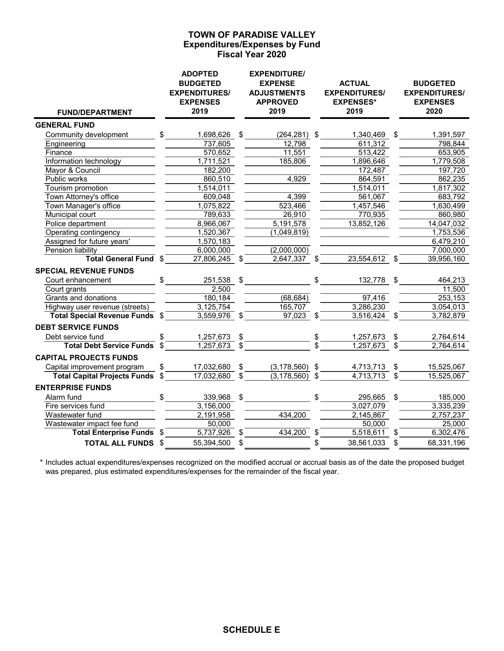## **Expenditures/Expenses by Fund Fiscal Year 2020 TOWN OF PARADISE VALLEY**

| <b>FUND/DEPARTMENT</b>                |                | <b>ADOPTED</b><br><b>BUDGETED</b><br><b>EXPENDITURES/</b><br><b>EXPENSES</b><br>2019 |                           | <b>EXPENDITURE/</b><br><b>EXPENSE</b><br><b>ADJUSTMENTS</b><br><b>APPROVED</b><br>2019 |               | <b>ACTUAL</b><br><b>EXPENDITURES/</b><br><b>EXPENSES*</b><br>2019 |                           | <b>BUDGETED</b><br><b>EXPENDITURES/</b><br><b>EXPENSES</b><br>2020 |
|---------------------------------------|----------------|--------------------------------------------------------------------------------------|---------------------------|----------------------------------------------------------------------------------------|---------------|-------------------------------------------------------------------|---------------------------|--------------------------------------------------------------------|
| <b>GENERAL FUND</b>                   |                |                                                                                      |                           |                                                                                        |               |                                                                   |                           |                                                                    |
| Community development                 | \$             | 1,698,626                                                                            | \$                        | $(264, 281)$ \$                                                                        |               | 1,340,469                                                         | - \$                      | 1,391,597                                                          |
| Engineering                           |                | 737,605                                                                              |                           | 12,798                                                                                 |               | 611,312                                                           |                           | 798,844                                                            |
| Finance                               |                | 570,652                                                                              |                           | 11,551                                                                                 |               | 513,422                                                           |                           | 653,905                                                            |
| Information technology                |                | 1,711,521                                                                            |                           | 185,806                                                                                |               | 1,896,646                                                         |                           | 1,779,508                                                          |
| Mayor & Council                       |                | 182,200                                                                              |                           |                                                                                        |               | 172,487                                                           |                           | 197,720                                                            |
| Public works                          |                | 860,510                                                                              |                           | 4,929                                                                                  |               | 864,591                                                           |                           | 862,235                                                            |
| Tourism promotion                     |                | 1,514,011                                                                            |                           |                                                                                        |               | 1,514,011                                                         |                           | 1,817,302                                                          |
| Town Attorney's office                |                | 609,048                                                                              |                           | 4,399                                                                                  |               | 561,067                                                           |                           | 683,792                                                            |
| Town Manager's office                 |                | 1,075,822                                                                            |                           | 523,466                                                                                |               | 1,457,546                                                         |                           | 1,630,499                                                          |
| Municipal court                       |                | 789,633                                                                              |                           | 26,910                                                                                 |               | 770,935                                                           |                           | 860,980                                                            |
| Police department                     |                | 8,966,067                                                                            |                           | 5,191,578                                                                              |               | 13,852,126                                                        |                           | 14,047,032                                                         |
| Operating contingency                 |                | 1,520,367                                                                            |                           | (1,049,819)                                                                            |               |                                                                   |                           | 1,753,536                                                          |
| Assigned for future years'            |                | 1,570,183                                                                            |                           |                                                                                        |               |                                                                   |                           | 6,479,210                                                          |
| Pension liability                     |                | 6,000,000                                                                            |                           | (2,000,000)                                                                            |               |                                                                   |                           | 7,000,000                                                          |
| Total General Fund \$                 |                | $27,806,245$ \$                                                                      |                           | $2,647,337$ \$                                                                         |               | $23,554,612$ \$                                                   |                           | 39,956,160                                                         |
| <b>SPECIAL REVENUE FUNDS</b>          |                |                                                                                      |                           |                                                                                        |               |                                                                   |                           |                                                                    |
| Court enhancement                     | \$             | 251,538                                                                              | \$                        |                                                                                        | $\frac{1}{2}$ | 132,778 \$                                                        |                           | 464,213                                                            |
| Court grants                          |                | 2,500                                                                                |                           |                                                                                        |               |                                                                   |                           | 11,500                                                             |
| <b>Grants and donations</b>           |                | 180, 184                                                                             |                           | (68, 684)                                                                              |               | 97,416                                                            |                           | 253,153                                                            |
| Highway user revenue (streets)        |                | 3,125,754                                                                            |                           | 165,707                                                                                |               | 3,286,230                                                         |                           | 3,054,013                                                          |
| <b>Total Special Revenue Funds \$</b> |                | 3,559,976                                                                            | $\mathfrak s$             | $\overline{97,023}$ \$                                                                 |               | 3,516,424                                                         | $\boldsymbol{\mathsf{S}}$ | 3,782,879                                                          |
| <b>DEBT SERVICE FUNDS</b>             |                |                                                                                      |                           |                                                                                        |               |                                                                   |                           |                                                                    |
| Debt service fund                     |                | $1,257,673$ \$                                                                       |                           |                                                                                        |               | 1,257,673                                                         | \$                        | 2,764,614                                                          |
| <b>Total Debt Service Funds</b>       | \$             | 1,257,673                                                                            | $\mathbb{S}$              |                                                                                        | \$<br>\$      | 1,257,673                                                         | \$                        | 2,764,614                                                          |
| <b>CAPITAL PROJECTS FUNDS</b>         |                |                                                                                      |                           |                                                                                        |               |                                                                   |                           |                                                                    |
| Capital improvement program           | \$             | 17,032,680                                                                           | \$                        | $(3, 178, 560)$ \$                                                                     |               | 4,713,713                                                         | \$                        | 15,525,067                                                         |
| <b>Total Capital Projects Funds</b>   | $\mathfrak{s}$ | 17,032,680                                                                           | $\mathbb{S}$              | $(3, 178, 560)$ \$                                                                     |               | 4,713,713                                                         | \$                        | 15,525,067                                                         |
| <b>ENTERPRISE FUNDS</b>               |                |                                                                                      |                           |                                                                                        |               |                                                                   |                           |                                                                    |
| Alarm fund                            | \$             | 339,968                                                                              | $\mathfrak{P}$            |                                                                                        |               | 295,665                                                           | $\sqrt{3}$                | 185,000                                                            |
| Fire services fund                    |                | 3,156,000                                                                            |                           |                                                                                        |               | 3,027,079                                                         |                           | 3,335,239                                                          |
| Wastewater fund                       |                | 2,191,958                                                                            |                           | 434,200                                                                                |               | 2,145,867                                                         |                           | 2,757,237                                                          |
| Wastewater impact fee fund            |                | 50,000                                                                               |                           |                                                                                        |               | 50,000                                                            |                           | 25,000                                                             |
| <b>Total Enterprise Funds \$</b>      |                | $\overline{5,737},926$                                                               | $\boldsymbol{\mathsf{S}}$ | 434,200                                                                                | \$            | 5,518,611                                                         | \$                        | 6,302,476                                                          |
| <b>TOTAL ALL FUNDS \$</b>             |                | 55,394,500                                                                           | \$                        |                                                                                        | \$            | 38,561,033                                                        | \$                        | 68,331,196                                                         |

\* Includes actual expenditures/expenses recognized on the modified accrual or accrual basis as of the date the proposed budget was prepared, plus estimated expenditures/expenses for the remainder of the fiscal year.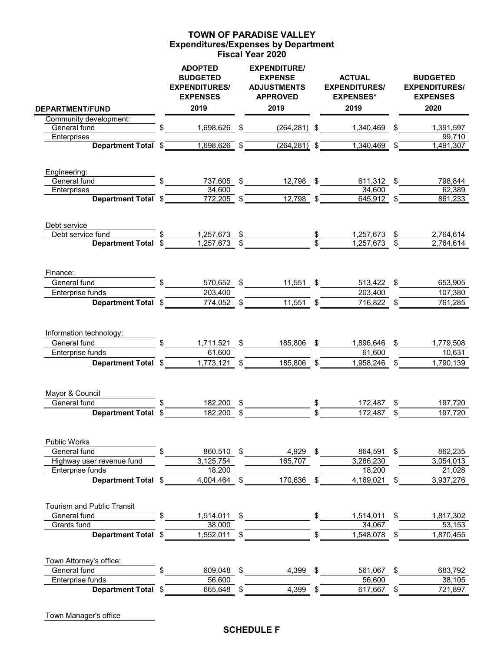## **Expenditures/Expenses by Department Fiscal Year 2020 TOWN OF PARADISE VALLEY**

| <b>DEPARTMENT/FUND</b>            | <b>ADOPTED</b><br><b>BUDGETED</b><br><b>EXPENDITURES/</b><br><b>EXPENSES</b><br>2019 |               | <b>EXPENDITURE/</b><br><b>EXPENSE</b><br><b>ADJUSTMENTS</b><br><b>APPROVED</b><br>2019 | <b>ACTUAL</b><br><b>EXPENDITURES/</b><br><b>EXPENSES*</b><br>2019 | <b>BUDGETED</b><br><b>EXPENDITURES/</b><br><b>EXPENSES</b><br>2020 |
|-----------------------------------|--------------------------------------------------------------------------------------|---------------|----------------------------------------------------------------------------------------|-------------------------------------------------------------------|--------------------------------------------------------------------|
| Community development:            |                                                                                      |               |                                                                                        |                                                                   |                                                                    |
| General fund                      | \$<br>1,698,626 \$                                                                   |               | $(264, 281)$ \$                                                                        | 1,340,469 \$                                                      | 1,391,597                                                          |
| Enterprises                       |                                                                                      |               |                                                                                        |                                                                   | 99,710                                                             |
|                                   | Department Total \$1,698,626                                                         | $\frac{1}{2}$ | $\overline{(264,281)}$ \$                                                              | $1,340,469$ \$                                                    | 1,491,307                                                          |
| Engineering:                      |                                                                                      |               |                                                                                        |                                                                   |                                                                    |
| General fund                      | \$                                                                                   |               | 737,605 \$12,798 \$                                                                    | 611,312 \$                                                        | 798,844                                                            |
| Enterprises                       | 34,600                                                                               |               |                                                                                        | 34,600                                                            | 62,389                                                             |
| Department Total \$               | $\frac{772,205}{5}$ \$                                                               |               | $\frac{12,798}{9}$ \$                                                                  | $645,912$ \$                                                      | 861,233                                                            |
| Debt service                      |                                                                                      |               |                                                                                        |                                                                   |                                                                    |
| Debt service fund                 |                                                                                      |               | $\frac{1,257,673}{1,257,673}$ \$                                                       | $1,257,673$ \$                                                    | 2,764,614                                                          |
| Department Total \$               |                                                                                      |               |                                                                                        | 1,257,673                                                         | 2,764,614                                                          |
| Finance:                          |                                                                                      |               |                                                                                        |                                                                   |                                                                    |
| General fund                      | 570,652 \$                                                                           |               | $11,551$ \$                                                                            | 513,422 \$                                                        | 653,905                                                            |
| Enterprise funds                  | 203,400                                                                              |               |                                                                                        | 203,400                                                           | 107,380                                                            |
| Department Total \$               | 774,052 \$                                                                           |               | 11,551                                                                                 | \$<br>716,822 \$                                                  | 761,285                                                            |
| Information technology:           |                                                                                      |               |                                                                                        |                                                                   |                                                                    |
| General fund                      | \$<br>1,711,521 \$                                                                   |               | 185,806 \$                                                                             | 1,896,646 \$                                                      | 1,779,508                                                          |
| Enterprise funds                  | 61,600                                                                               |               |                                                                                        | 61,600                                                            | 10,631                                                             |
| Department Total \$               | 1,773,121                                                                            | \$            | 185,806                                                                                | \$<br>1,958,246 \$                                                | 1,790,139                                                          |
| Mayor & Council                   |                                                                                      |               |                                                                                        |                                                                   |                                                                    |
| General fund                      | 182,200                                                                              | \$            |                                                                                        | \$<br>172,487                                                     | \$<br>197,720                                                      |
| Department Total \$               | 182,200                                                                              | \$            |                                                                                        | 172,487                                                           | \$<br>197,720                                                      |
| Public Works                      |                                                                                      |               |                                                                                        |                                                                   |                                                                    |
| General fund                      | 860,510 \$                                                                           |               | 4,929 \$                                                                               | 864,591                                                           | \$<br>862,235                                                      |
| Highway user revenue fund         | 3,125,754                                                                            |               | 165,707                                                                                | 3,286,230                                                         | 3,054,013                                                          |
| Enterprise funds                  | 18,200                                                                               |               |                                                                                        | 18,200                                                            | 21,028                                                             |
| Department Total \$               | 4,004,464                                                                            | \$            | 170,636                                                                                | \$<br>4,169,021                                                   | \$<br>3,937,276                                                    |
| <b>Tourism and Public Transit</b> |                                                                                      |               |                                                                                        |                                                                   |                                                                    |
| General fund                      | \$<br>1,514,011 \$                                                                   |               |                                                                                        | 1,514,011 \$                                                      | 1,817,302                                                          |
| Grants fund                       | 38,000                                                                               |               |                                                                                        | 34,067                                                            | 53,153                                                             |
| <b>Department Total</b>           | \$<br>1,552,011                                                                      | \$            |                                                                                        | \$<br>1,548,078                                                   | \$<br>1,870,455                                                    |
| Town Attorney's office:           |                                                                                      |               |                                                                                        |                                                                   |                                                                    |
| General fund                      | 609,048                                                                              | \$            | 4,399 \$                                                                               | 561,067                                                           | \$<br>683,792                                                      |
| Enterprise funds                  | 56,600                                                                               |               |                                                                                        | 56,600                                                            | 38,105                                                             |
| Department Total \$               | 665,648                                                                              | \$            | 4,399                                                                                  | \$<br>617,667                                                     | \$<br>721,897                                                      |

Town Manager's office

## **SCHEDULE F**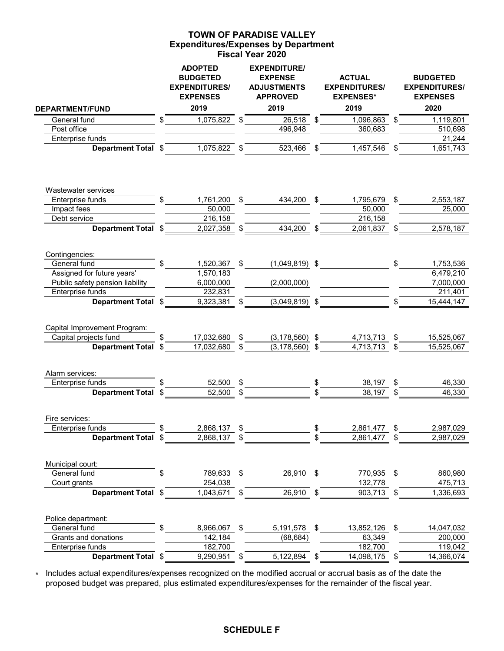## **Expenditures/Expenses by Department Fiscal Year 2020 TOWN OF PARADISE VALLEY**

|                                                                                  | <b>ADOPTED</b><br><b>BUDGETED</b><br><b>EXPENDITURES/</b><br><b>EXPENSES</b><br>2019 |                         | <b>EXPENDITURE/</b><br><b>EXPENSE</b><br><b>ADJUSTMENTS</b><br><b>APPROVED</b><br>2019 |          | <b>ACTUAL</b><br><b>EXPENDITURES/</b><br><b>EXPENSES*</b><br>2019 |          | <b>BUDGETED</b><br><b>EXPENDITURES/</b><br><b>EXPENSES</b><br>2020 |
|----------------------------------------------------------------------------------|--------------------------------------------------------------------------------------|-------------------------|----------------------------------------------------------------------------------------|----------|-------------------------------------------------------------------|----------|--------------------------------------------------------------------|
| <b>DEPARTMENT/FUND</b>                                                           |                                                                                      |                         |                                                                                        |          |                                                                   |          |                                                                    |
| General fund                                                                     | \$<br>1,075,822 \$                                                                   |                         | 26,518 \$                                                                              |          | 1,096,863                                                         | \$       | 1,119,801                                                          |
| Post office<br>Enterprise funds                                                  |                                                                                      |                         | 496,948                                                                                |          | 360,683                                                           |          | 510,698<br>21,244                                                  |
| Department Total \$                                                              | 1,075,822                                                                            |                         | 523,466                                                                                | \$       | 1,457,546                                                         | \$       | 1,651,743                                                          |
|                                                                                  |                                                                                      |                         |                                                                                        |          |                                                                   |          |                                                                    |
| Wastewater services                                                              |                                                                                      |                         |                                                                                        |          |                                                                   |          |                                                                    |
| Enterprise funds                                                                 | 1,761,200 \$                                                                         |                         | 434,200 \$                                                                             |          | 1,795,679 \$                                                      |          | 2,553,187                                                          |
| Impact fees                                                                      | 50,000                                                                               |                         |                                                                                        |          | 50,000                                                            |          | 25,000                                                             |
| Debt service                                                                     | 216,158                                                                              |                         |                                                                                        |          | 216,158                                                           |          |                                                                    |
| Department Total \$                                                              | 2,027,358                                                                            | \$                      | 434,200 \$                                                                             |          | 2,061,837                                                         | \$       | 2,578,187                                                          |
| Contingencies:                                                                   |                                                                                      |                         |                                                                                        |          |                                                                   |          |                                                                    |
| General fund                                                                     | \$<br>1,520,367                                                                      | \$                      | $(1,049,819)$ \$                                                                       |          |                                                                   | \$       | 1,753,536                                                          |
| Assigned for future years'                                                       | 1,570,183                                                                            |                         |                                                                                        |          |                                                                   |          | 6,479,210                                                          |
| Public safety pension liability<br>Enterprise funds                              | 6,000,000<br>232,831                                                                 |                         | (2,000,000)                                                                            |          |                                                                   |          | 7,000,000                                                          |
| Department Total \$                                                              | 9,323,381                                                                            | \$                      | $(3,049,819)$ \$                                                                       |          |                                                                   | \$       | 211,401<br>15,444,147                                              |
| Capital Improvement Program:<br>Capital projects fund<br><b>Department Total</b> | \$<br>17,032,680<br>17,032,680                                                       | \$                      | $(3, 178, 560)$ \$<br>$(3, 178, 560)$ \$                                               |          | 4,713,713<br>4,713,713                                            | \$<br>\$ | 15,525,067<br>15,525,067                                           |
| Alarm services:<br>Enterprise funds                                              | 52,500                                                                               | \$                      |                                                                                        | \$       | 38,197                                                            | \$       | 46,330                                                             |
| <b>Department Total</b>                                                          | \$<br>52.500                                                                         | \$                      |                                                                                        |          | 38.197                                                            | \$       | 46,330                                                             |
| Fire services:<br>Enterprise funds<br>Department Total \$                        | \$<br>2,868,137<br>2,868,137                                                         | \$<br>\$                |                                                                                        | \$<br>\$ | 2,861,477<br>2,861,477                                            | \$<br>\$ | 2,987,029<br>2,987,029                                             |
| Municipal court:                                                                 |                                                                                      |                         |                                                                                        |          |                                                                   |          |                                                                    |
| General fund                                                                     | 789,633 \$                                                                           |                         | 26,910 \$                                                                              |          | 770,935 \$                                                        |          | 860,980                                                            |
| Court grants                                                                     | 254,038                                                                              |                         |                                                                                        |          | 132,778                                                           |          | 475,713                                                            |
| Department Total \$                                                              | 1,043,671                                                                            |                         | 26,910                                                                                 | \$       | 903,713                                                           | \$       | 1,336,693                                                          |
| Police department:                                                               |                                                                                      |                         |                                                                                        |          |                                                                   |          |                                                                    |
| General fund<br>Grants and donations                                             | 8,966,067<br>142,184                                                                 | $\sqrt[6]{\frac{1}{2}}$ | 5,191,578 \$<br>(68, 684)                                                              |          | 13,852,126<br>63,349                                              | \$       | 14,047,032<br>200,000                                              |
| Enterprise funds                                                                 | 182,700                                                                              |                         |                                                                                        |          | 182,700                                                           |          | 119,042                                                            |
| Department Total \$                                                              | 9,290,951                                                                            | \$                      | 5,122,894                                                                              | \$       | 14,098,175                                                        | \$       | 14,366,074                                                         |
|                                                                                  |                                                                                      |                         |                                                                                        |          |                                                                   |          |                                                                    |

\* Includes actual expenditures/expenses recognized on the modified accrual or accrual basis as of the date the proposed budget was prepared, plus estimated expenditures/expenses for the remainder of the fiscal year.

## **SCHEDULE F**